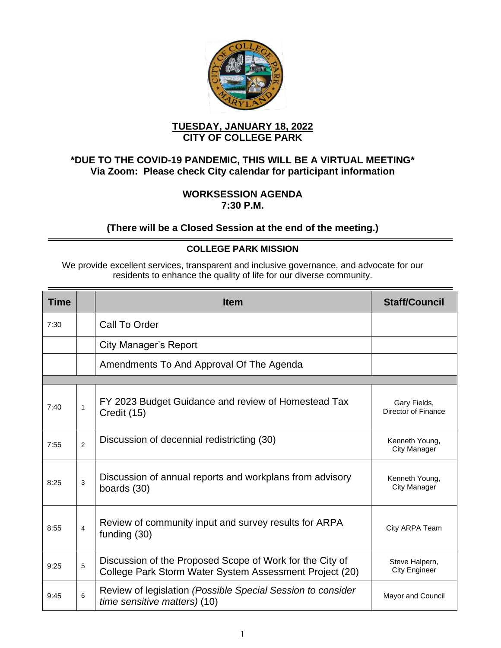

### **TUESDAY, JANUARY 18, 2022 CITY OF COLLEGE PARK**

## **\*DUE TO THE COVID-19 PANDEMIC, THIS WILL BE A VIRTUAL MEETING\* Via Zoom: Please check City calendar for participant information**

#### **WORKSESSION AGENDA 7:30 P.M.**

### **(There will be a Closed Session at the end of the meeting.)**

### **COLLEGE PARK MISSION**

We provide excellent services, transparent and inclusive governance, and advocate for our residents to enhance the quality of life for our diverse community.

| <b>Time</b> |                | <b>Item</b>                                                                                                         | <b>Staff/Council</b>                |
|-------------|----------------|---------------------------------------------------------------------------------------------------------------------|-------------------------------------|
| 7:30        |                | Call To Order                                                                                                       |                                     |
|             |                | City Manager's Report                                                                                               |                                     |
|             |                | Amendments To And Approval Of The Agenda                                                                            |                                     |
|             |                |                                                                                                                     |                                     |
| 7:40        | 1              | FY 2023 Budget Guidance and review of Homestead Tax<br>Credit (15)                                                  | Gary Fields,<br>Director of Finance |
| 7:55        | $\overline{2}$ | Discussion of decennial redistricting (30)                                                                          | Kenneth Young,<br>City Manager      |
| 8:25        | 3              | Discussion of annual reports and workplans from advisory<br>boards (30)                                             | Kenneth Young,<br>City Manager      |
| 8:55        | 4              | Review of community input and survey results for ARPA<br>funding (30)                                               | City ARPA Team                      |
| 9:25        | 5              | Discussion of the Proposed Scope of Work for the City of<br>College Park Storm Water System Assessment Project (20) | Steve Halpern,<br>City Engineer     |
| 9:45        | 6              | Review of legislation (Possible Special Session to consider<br>time sensitive matters) (10)                         | Mayor and Council                   |